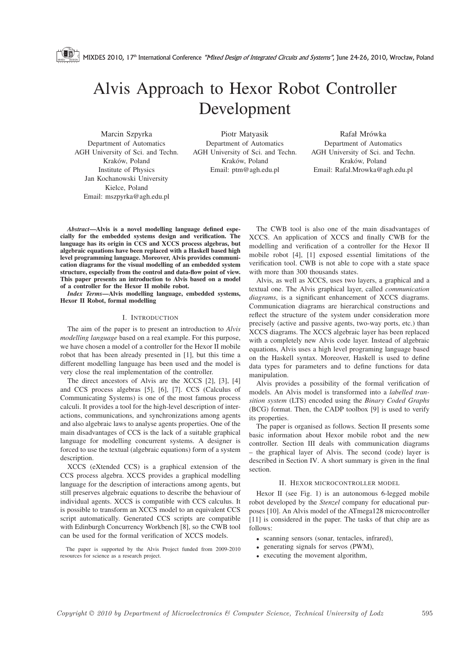MIXDES 2010, 17<sup>th</sup> International Conference "Mixed Design of Integrated Circuits and Systems", June 24-26, 2010, Wrocław, Poland

# Alvis Approach to Hexor Robot Controller Development

Marcin Szpyrka Department of Automatics AGH University of Sci. and Techn. Kraków, Poland Institute of Physics Jan Kochanowski University Kielce, Poland Email: mszpyrka@agh.edu.pl

Piotr Matyasik Department of Automatics AGH University of Sci. and Techn. Kraków, Poland Email: ptm@agh.edu.pl

Rafał Mrówka Department of Automatics AGH University of Sci. and Techn. Kraków, Poland Email: Rafal.Mrowka@agh.edu.pl

*Abstract*—Alvis is a novel modelling language defined especially for the embedded systems design and verification. The language has its origin in CCS and XCCS process algebras, but algebraic equations have been replaced with a Haskell based high level programming language. Moreover, Alvis provides communication diagrams for the visual modelling of an embedded system structure, especially from the control and data-flow point of view. This paper presents an introduction to Alvis based on a model of a controller for the Hexor II mobile robot.

*Index Terms*—Alvis modelling language, embedded systems, Hexor II Robot, formal modelling

#### I. INTRODUCTION

The aim of the paper is to present an introduction to *Alvis modelling language* based on a real example. For this purpose, we have chosen a model of a controller for the Hexor II mobile robot that has been already presented in [1], but this time a different modelling language has been used and the model is very close the real implementation of the controller.

The direct ancestors of Alvis are the XCCS [2], [3], [4] and CCS process algebras [5], [6], [7]. CCS (Calculus of Communicating Systems) is one of the most famous process calculi. It provides a tool for the high-level description of interactions, communications, and synchronizations among agents and also algebraic laws to analyse agents properties. One of the main disadvantages of CCS is the lack of a suitable graphical language for modelling concurrent systems. A designer is forced to use the textual (algebraic equations) form of a system description.

XCCS (eXtended CCS) is a graphical extension of the CCS process algebra. XCCS provides a graphical modelling language for the description of interactions among agents, but still preserves algebraic equations to describe the behaviour of individual agents. XCCS is compatible with CCS calculus. It is possible to transform an XCCS model to an equivalent CCS script automatically. Generated CCS scripts are compatible with Edinburgh Concurrency Workbench [8], so the CWB tool can be used for the formal verification of XCCS models.

The paper is supported by the Alvis Project funded from 2009-2010 resources for science as a research project.

The CWB tool is also one of the main disadvantages of XCCS. An application of XCCS and finally CWB for the modelling and verification of a controller for the Hexor II mobile robot [4], [1] exposed essential limitations of the verification tool. CWB is not able to cope with a state space with more than 300 thousands states.

Alvis, as well as XCCS, uses two layers, a graphical and a textual one. The Alvis graphical layer, called *communication diagrams*, is a significant enhancement of XCCS diagrams. Communication diagrams are hierarchical constructions and reflect the structure of the system under consideration more precisely (active and passive agents, two-way ports, etc.) than XCCS diagrams. The XCCS algebraic layer has been replaced with a completely new Alvis code layer. Instead of algebraic equations, Alvis uses a high level programing language based on the Haskell syntax. Moreover, Haskell is used to define data types for parameters and to define functions for data manipulation.

Alvis provides a possibility of the formal verification of models. An Alvis model is transformed into a *labelled transition system* (LTS) encoded using the *Binary Coded Graphs* (BCG) format. Then, the CADP toolbox [9] is used to verify its properties.

The paper is organised as follows. Section II presents some basic information about Hexor mobile robot and the new controller. Section III deals with communication diagrams – the graphical layer of Alvis. The second (code) layer is described in Section IV. A short summary is given in the final section.

#### II. HEXOR MICROCONTROLLER MODEL

Hexor II (see Fig. 1) is an autonomous 6-legged mobile robot developed by the *Stenzel* company for educational purposes [10]. An Alvis model of the ATmega128 microcontroller [11] is considered in the paper. The tasks of that chip are as follows:

- scanning sensors (sonar, tentacles, infrared),
- generating signals for servos (PWM),
- executing the movement algorithm,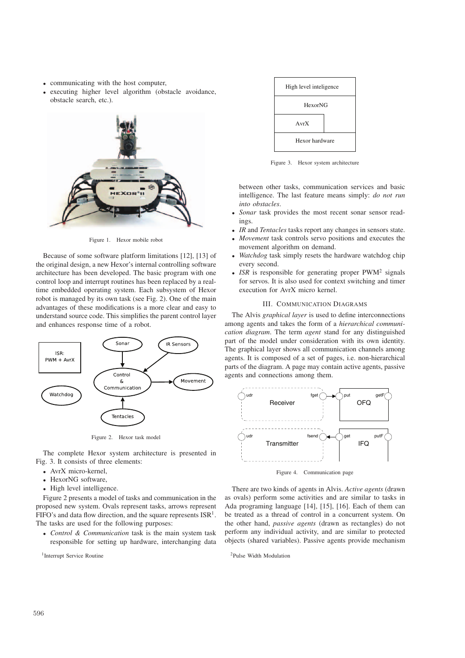- communicating with the host computer,
- executing higher level algorithm (obstacle avoidance, obstacle search, etc.).



Figure 1. Hexor mobile robot

Because of some software platform limitations [12], [13] of the original design, a new Hexor's internal controlling software architecture has been developed. The basic program with one control loop and interrupt routines has been replaced by a realtime embedded operating system. Each subsystem of Hexor robot is managed by its own task (see Fig. 2). One of the main advantages of these modifications is a more clear and easy to understand source code. This simplifies the parent control layer and enhances response time of a robot.



Figure 2. Hexor task model

The complete Hexor system architecture is presented in Fig. 3. It consists of three elements:

- AvrX micro-kernel,
- HexorNG software,
- High level intelligence.

Figure 2 presents a model of tasks and communication in the proposed new system. Ovals represent tasks, arrows represent FIFO's and data flow direction, and the square represents  $ISR<sup>1</sup>$ . The tasks are used for the following purposes:

• *Control & Communication* task is the main system task responsible for setting up hardware, interchanging data

<sup>1</sup>Interrupt Service Routine



Figure 3. Hexor system architecture

between other tasks, communication services and basic intelligence. The last feature means simply: *do not run into obstacles*.

- Sonar task provides the most recent sonar sensor readings.
- *IR* and *Tentacles* tasks report any changes in sensors state.
- *Movement* task controls servo positions and executes the movement algorithm on demand.
- *Watchdog* task simply resets the hardware watchdog chip every second.
- *ISR* is responsible for generating proper PWM<sup>2</sup> signals for servos. It is also used for context switching and timer execution for AvrX micro kernel.

## III. COMMUNICATION DIAGRAMS

The Alvis *graphical layer* is used to define interconnections among agents and takes the form of a *hierarchical communication diagram*. The term *agent* stand for any distinguished part of the model under consideration with its own identity. The graphical layer shows all communication channels among agents. It is composed of a set of pages, i.e. non-hierarchical parts of the diagram. A page may contain active agents, passive agents and connections among them.



Figure 4. Communication page

There are two kinds of agents in Alvis. *Active agents* (drawn as ovals) perform some activities and are similar to tasks in Ada programing language [14], [15], [16]. Each of them can be treated as a thread of control in a concurrent system. On the other hand, *passive agents* (drawn as rectangles) do not perform any individual activity, and are similar to protected objects (shared variables). Passive agents provide mechanism

2Pulse Width Modulation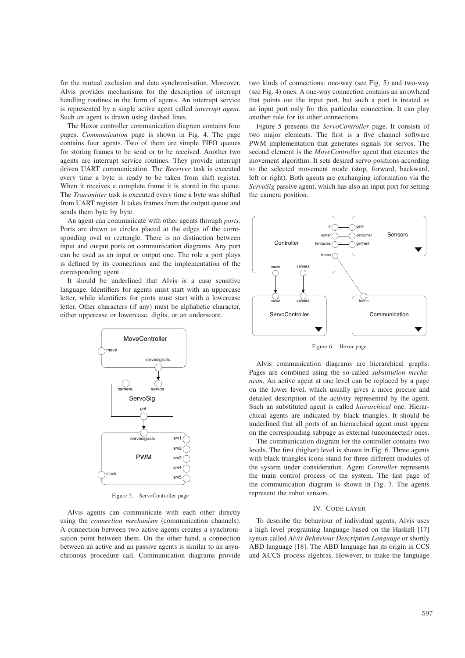for the mutual exclusion and data synchronisation. Moreover, Alvis provides mechanisms for the description of interrupt handling routines in the form of agents. An interrupt service is represented by a single active agent called *interrupt agent*. Such an agent is drawn using dashed lines.

The Hexor controller communication diagram contains four pages. *Communication* page is shown in Fig. 4. The page contains four agents. Two of them are simple FIFO queues for storing frames to be send or to be received. Another two agents are interrupt service routines. They provide interrupt driven UART communication. The *Receiver* task is executed every time a byte is ready to be taken from shift register. When it receives a complete frame it is stored in the queue. The *Transmitter* task is executed every time a byte was shifted from UART register. It takes frames from the output queue and sends them byte by byte.

An agent can communicate with other agents through *ports*. Ports are drawn as circles placed at the edges of the corresponding oval or rectangle. There is no distinction between input and output ports on communication diagrams. Any port can be used as an input or output one. The role a port plays is defined by its connections and the implementation of the corresponding agent.

It should be underlined that Alvis is a case sensitive language. Identifiers for agents must start with an uppercase letter, while identifiers for ports must start with a lowercase letter. Other characters (if any) must be alphabetic character, either uppercase or lowercase, digits, or an underscore.



Figure 5. ServoController page

Alvis agents can communicate with each other directly using the *connection mechanism* (communication channels). A connection between two active agents creates a synchronisation point between them. On the other hand, a connection between an active and an passive agents is similar to an asynchronous procedure call. Communication diagrams provide two kinds of connections: one-way (see Fig. 5) and two-way (see Fig. 4) ones. A one-way connection contains an arrowhead that points out the input port, but such a port is treated as an input port only for this particular connection. It can play another role for its other connections.

Figure 5 presents the *ServoController* page. It consists of two major elements. The first is a five channel software PWM implementation that generates signals for servos. The second element is the *MoveController* agent that executes the movement algorithm. It sets desired servo positions according to the selected movement mode (stop, forward, backward, left or right). Both agents are exchanging information via the *ServoSig* passive agent, which has also an input port for setting the camera position.



Figure 6. Hexor page

Alvis communication diagrams are hierarchical graphs. Pages are combined using the so-called *substitution mechanism*. An active agent at one level can be replaced by a page on the lower level, which usually gives a more precise and detailed description of the activity represented by the agent. Such an substituted agent is called *hierarchical* one. Hierarchical agents are indicated by black triangles. It should be underlined that all ports of an hierarchical agent must appear on the corresponding subpage as external (unconnected) ones.

The communication diagram for the controller contains two levels. The first (higher) level is shown in Fig. 6. Three agents with black triangles icons stand for three different modules of the system under consideration. Agent *Controller* represents the main control process of the system. The last page of the communication diagram is shown in Fig. 7. The agents represent the robot sensors.

## IV. CODE LAYER

To describe the behaviour of individual agents, Alvis uses a high level programing language based on the Haskell [17] syntax called *Alvis Behaviour Description Language* or shortly ABD language [18]. The ABD language has its origin in CCS and XCCS process algebras. However, to make the language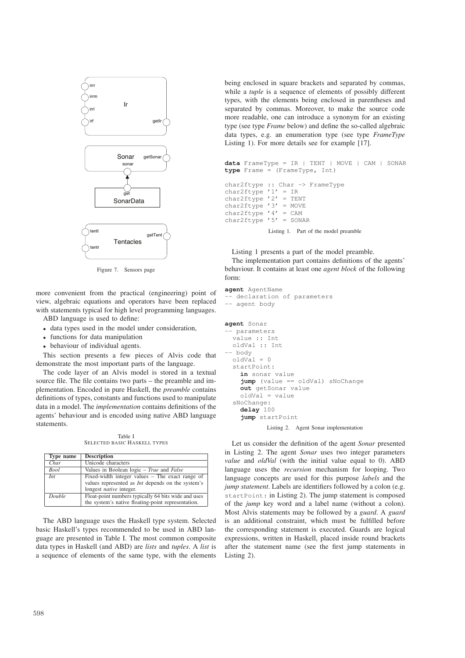

Figure 7. Sensors page

more convenient from the practical (engineering) point of view, algebraic equations and operators have been replaced with statements typical for high level programming languages. ABD language is used to define:

- 
- data types used in the model under consideration,
- functions for data manipulation
- behaviour of individual agents.

This section presents a few pieces of Alvis code that demonstrate the most important parts of the language.

The code layer of an Alvis model is stored in a textual source file. The file contains two parts – the preamble and implementation. Encoded in pure Haskell, the *preamble* contains definitions of types, constants and functions used to manipulate data in a model. The *implementation* contains definitions of the agents' behaviour and is encoded using native ABD language statements.

Table I SELECTED BASIC HASKELL TYPES

| Type name   | <b>Description</b>                                       |
|-------------|----------------------------------------------------------|
| Char        | Unicode characters                                       |
| <b>Bool</b> | Values in Boolean logic – True and False                 |
| Int         | Fixed-width integer values – The exact range of          |
|             | values represented as <i>Int</i> depends on the system's |
|             | longest <i>native</i> integer.                           |
| Double      | Float-point numbers typically 64 bits wide and uses      |
|             | the system's native floating-point representation.       |

The ABD language uses the Haskell type system. Selected basic Haskell's types recommended to be used in ABD language are presented in Table I. The most common composite data types in Haskell (and ABD) are *lists* and *tuples*. A *list* is a sequence of elements of the same type, with the elements

being enclosed in square brackets and separated by commas, while a *tuple* is a sequence of elements of possibly different types, with the elements being enclosed in parentheses and separated by commas. Moreover, to make the source code more readable, one can introduce a synonym for an existing type (see type *Frame* below) and define the so-called algebraic data types, e.g. an enumeration type (see type *FrameType* Listing 1). For more details see for example [17].

```
data FrameType = IR | TENT | MOVE | CAM | SONAR
type Frame = (FrameType, Int)
```

```
char2ftype :: Char -> FrameType
char2ftype '1' = IRchar2ftype '2' = TENT
char2ftype '3' = MOWEchar2ftype '4' = CAMchar2ftype '5' = SONAR
```
Listing 1. Part of the model preamble

Listing 1 presents a part of the model preamble. The implementation part contains definitions of the agents' behaviour. It contains at least one *agent block* of the following form:

```
agent AgentName
-- declaration of parameters
-- agent body
agent Sonar
 -- parameters
  value :: Int
 oldVal :: Int
-- body
 oldVal = 0startPoint:
    in sonar value
    jump (value == oldVal) sNoChange
    out getSonar value
    oldVal = value
  sNoChange:
    delay 100
    jump startPoint
```
Listing 2. Agent Sonar implementation

Let us consider the definition of the agent *Sonar* presented in Listing 2. The agent *Sonar* uses two integer parameters *value* and *oldVal* (with the initial value equal to 0). ABD language uses the *recursion* mechanism for looping. Two language concepts are used for this purpose *labels* and the *jump statement*. Labels are identifiers followed by a colon (e.g. startPoint: in Listing 2). The jump statement is composed of the *jump* key word and a label name (without a colon). Most Alvis statements may be followed by a *guard*. A *guard* is an additional constraint, which must be fulfilled before the corresponding statement is executed. Guards are logical expressions, written in Haskell, placed inside round brackets after the statement name (see the first jump statements in Listing 2).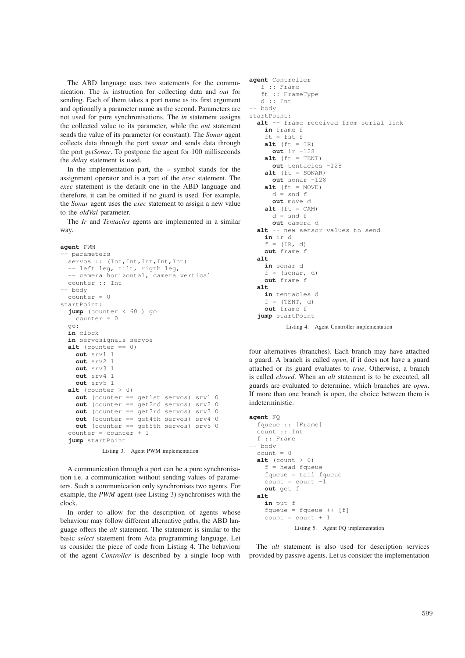The ABD language uses two statements for the communication. The *in* instruction for collecting data and *out* for sending. Each of them takes a port name as its first argument and optionally a parameter name as the second. Parameters are not used for pure synchronisations. The *in* statement assigns the collected value to its parameter, while the *out* statement sends the value of its parameter (or constant). The *Sonar* agent collects data through the port *sonar* and sends data through the port *getSonar*. To postpone the agent for 100 milliseconds the *delay* statement is used.

In the implementation part, the  $=$  symbol stands for the assignment operator and is a part of the *exec* statement. The *exec* statement is the default one in the ABD language and therefore, it can be omitted if no guard is used. For example, the *Sonar* agent uses the *exec* statement to assign a new value to the *oldVal* parameter.

The *Ir* and *Tentacles* agents are implemented in a similar way.

```
agent PWM
  -- parameters
  servos :: (Int, Int, Int, Int, Int)
  -- left leg, tilt, rigth leg,
  -- camera horizontal, camera vertical
 counter :: Int
 -- body
 counter = 0
startPoint:
  jump (counter < 60 ) go
   counter = 0
  go:
  in clock
  in servosignals servos
  alt (counter == 0)
   out srv1 1
    out srv2 1
   out srv3 1
   \sin t srv4 1
    out srv5 1
  alt (counter > 0)
   out (counter == get1st servos) srv1 0
    out (counter == get2nd servos) srv2 0
    out (counter == get3rd servos) srv3 0
    out (counter == get4th servos) srv4 0
    out (counter == get5th servos) srv5 0
  counter = counter + 1
  jump startPoint
```
Listing 3. Agent PWM implementation

A communication through a port can be a pure synchronisation i.e. a communication without sending values of parameters. Such a communication only synchronises two agents. For example, the *PWM* agent (see Listing 3) synchronises with the clock.

In order to allow for the description of agents whose behaviour may follow different alternative paths, the ABD language offers the *alt* statement. The statement is similar to the basic *select* statement from Ada programming language. Let us consider the piece of code from Listing 4. The behaviour of the agent *Controller* is described by a single loop with

```
agent Controller
   f :: Frame
   ft :: FrameType
   d :: Int
-- body
startPoint:
 alt -- frame received from serial link
    in frame f
    ft = fst f
    alt (ft = IR)
      out ir -128
    alt (ft = TENT)
      out tentacles -128
    alt (ft = SOMAR)
      out sonar -128
    alt (ft = MOVE)
      d = snd f
      out move d
    alt (ft = CAM)
      d = \text{snd } fout camera d
  alt -- new sensor values to send
    in ir d
    f = (TR, d)out frame f
  alt
    in sonar d
    f = (sonar, d)out frame f
  alt
    in tentacles d
    f = (TENT, d)out frame f
  jump startPoint
          Listing 4. Agent Controller implementation
```
four alternatives (branches). Each branch may have attached a guard. A branch is called *open*, if it does not have a guard attached or its guard evaluates to *true*. Otherwise, a branch is called *closed*. When an *alt* statement is to be executed, all guards are evaluated to determine, which branches are *open*. If more than one branch is open, the choice between them is indeterministic.

```
agent FQ
  fqueue :: [Frame]
  count :: Int
  f :: Frame
-- body
 count = 0alt (count > 0)
    f = head \ fqueuefqueue = tail fqueue
    count = count -1out get f
 alt
    in put f
    fqueue = fqueue ++ [f]count = count + 1Listing 5. Agent FQ implementation
```
The *alt* statement is also used for description services provided by passive agents. Let us consider the implementation